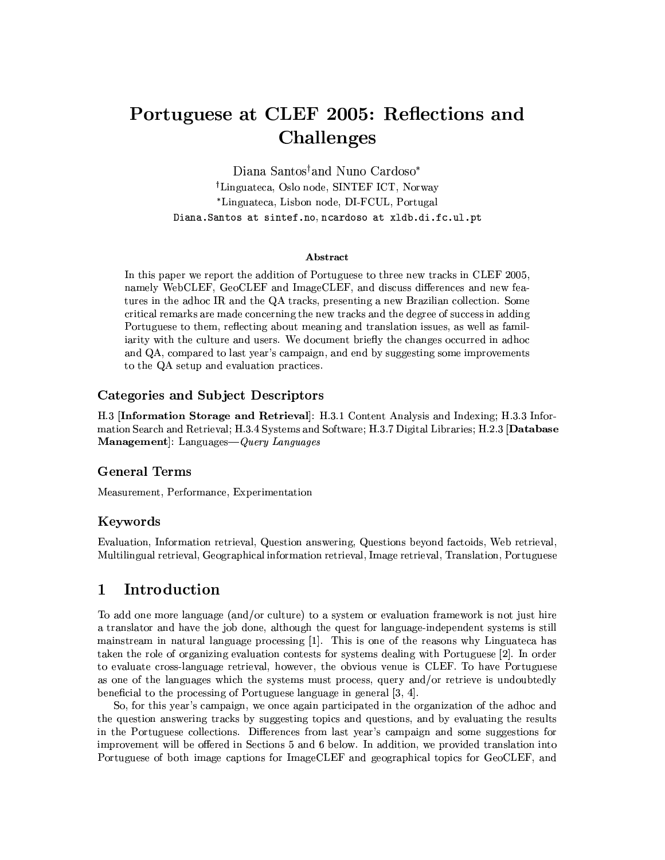# Portuguese at CLEF 2005: Reflections and Challenges

Diana Santos<sup>†</sup> and Nuno Cardoso<sup>\*</sup> <sup>†</sup>Linguateca, Oslo node, SINTEF ICT, Norway \*Linguateca, Lisbon node, DI-FCUL, Portugal Diana. Santos at sintef.no, ncardoso at xldb.di.fc.ul.pt

### **A** hstract

In this paper we report the addition of Portuguese to three new tracks in CLEF 2005, namely WebCLEF, GeoCLEF and ImageCLEF, and discuss differences and new features in the adhoc IR and the QA tracks, presenting a new Brazilian collection. Some critical remarks are made concerning the new tracks and the degree of success in adding Portuguese to them, reflecting about meaning and translation issues, as well as familiarity with the culture and users. We document briefly the changes occurred in adhoc and QA, compared to last year's campaign, and end by suggesting some improvements to the QA setup and evaluation practices.

### Categories and Subject Descriptors

H.3 [Information Storage and Retrieval]: H.3.1 Content Analysis and Indexing; H.3.3 Information Search and Retrieval; H.3.4 Systems and Software; H.3.7 Digital Libraries; H.2.3 [Database Management]: Languages-Query Languages

### **General Terms**

Measurement, Performance, Experimentation

### Keywords

Evaluation, Information retrieval, Question answering, Questions beyond factoids, Web retrieval, Multilingual retrieval, Geographical information retrieval, Image retrieval, Translation, Portuguese

#### Introduction  $\mathbf 1$

To add one more language (and/or culture) to a system or evaluation framework is not just hire a translator and have the job done, although the quest for language-independent systems is still mainstream in natural language processing [1]. This is one of the reasons why Linguateca has taken the role of organizing evaluation contests for systems dealing with Portuguese [2]. In order to evaluate cross-language retrieval, however, the obvious venue is CLEF. To have Portuguese as one of the languages which the systems must process, query and/or retrieve is undoubtedly beneficial to the processing of Portuguese language in general [3, 4].

So, for this year's campaign, we once again participated in the organization of the adhoc and the question answering tracks by suggesting topics and questions, and by evaluating the results in the Portuguese collections. Differences from last year's campaign and some suggestions for improvement will be offered in Sections 5 and 6 below. In addition, we provided translation into Portuguese of both image captions for ImageCLEF and geographical topics for GeoCLEF, and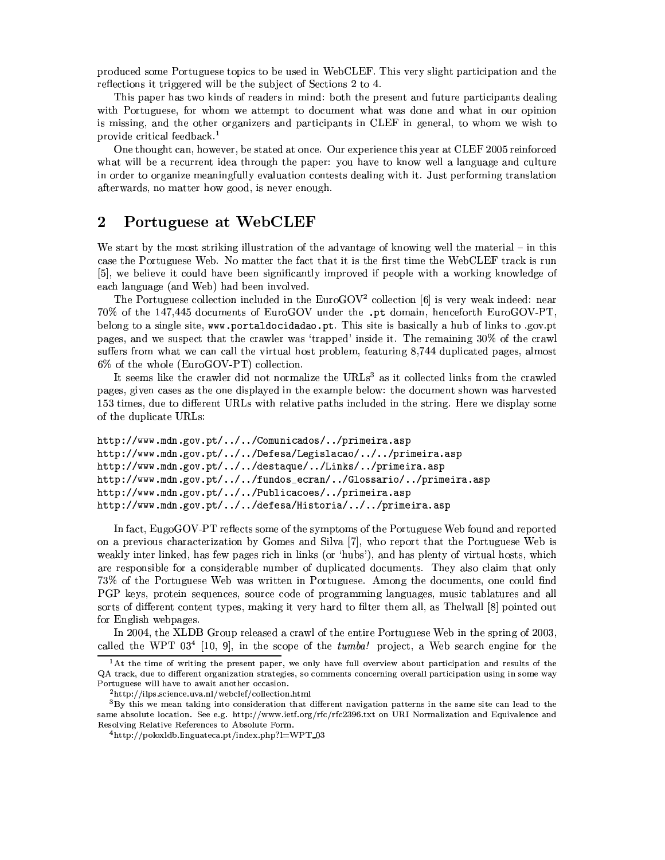produced some Portuguese topics to be used in WebCLEF. This very slight participation and the reflections it triggered will be the subject of Sections 2 to 4.

This paper has two kinds of readers in mind: both the present and future participants dealing with Portuguese, for whom we attempt to document what was done and what in our opinion is missing, and the other organizers and participants in CLEF in general, to whom we wish to provide critical feedback.<sup>1</sup>

One thought can, however, be stated at once. Our experience this year at CLEF 2005 reinforced what will be a recurrent idea through the paper: you have to know well a language and culture in order to organize meaningfully evaluation contests dealing with it. Just performing translation afterwards, no matter how good, is never enough.

#### $\bf{2}$ Portuguese at WebCLEF

We start by the most striking illustration of the advantage of knowing well the material – in this case the Portuguese Web. No matter the fact that it is the first time the WebCLEF track is run [5], we believe it could have been significantly improved if people with a working knowledge of each language (and Web) had been involved.

The Portuguese collection included in the EuroGOV<sup>2</sup> collection [6] is very weak indeed: near 70% of the 147,445 documents of EuroGOV under the .pt domain, henceforth EuroGOV-PT, belong to a single site, www.portaldocidadao.pt. This site is basically a hub of links to .gov.pt pages, and we suspect that the crawler was 'trapped' inside it. The remaining 30% of the crawl suffers from what we can call the virtual host problem, featuring 8,744 duplicated pages, almost 6% of the whole (EuroGOV-PT) collection.

It seems like the crawler did not normalize the URLs<sup>3</sup> as it collected links from the crawled pages, given cases as the one displayed in the example below: the document shown was harvested 153 times, due to different URLs with relative paths included in the string. Here we display some of the duplicate URLs:

```
http://www.mdn.gov.pt/../../Comunicados/../primeira.asp
http://www.mdn.gov.pt/../../Defesa/Legislacao/../../primeira.asp
http://www.mdn.gov.pt/../../destaque/../Links/../primeira.asp
http://www.mdn.gov.pt/../../fundos_ecran/../Glossario/../primeira.asp
http://www.mdn.gov.pt/../../Publicacoes/../primeira.asp
http://www.mdn.gov.pt/../../defesa/Historia/../../primeira.asp
```
In fact, EugoGOV-PT reflects some of the symptoms of the Portuguese Web found and reported on a previous characterization by Gomes and Silva [7], who report that the Portuguese Web is weakly inter linked, has few pages rich in links (or 'hubs'), and has plenty of virtual hosts, which are responsible for a considerable number of duplicated documents. They also claim that only 73% of the Portuguese Web was written in Portuguese. Among the documents, one could find PGP keys, protein sequences, source code of programming languages, music tablatures and all sorts of different content types, making it very hard to filter them all, as Thelwall [8] pointed out for English webpages.

In 2004, the XLDB Group released a crawl of the entire Portuguese Web in the spring of 2003, called the WPT  $03^4$  [10, 9], in the scope of the *tumba!* project, a Web search engine for the

<sup>&</sup>lt;sup>1</sup>At the time of writing the present paper, we only have full overview about participation and results of the QA track, due to different organization strategies, so comments concerning overall participation using in some way Portuguese will have to await another occasion.

<sup>&</sup>lt;sup>2</sup>http://ilps.science.uva.nl/webclef/collection.html

 ${}^{3}$ By this we mean taking into consideration that different navigation patterns in the same site can lead to the same absolute location. See e.g. http://www.ietf.org/rfc/rfc2396.txt on URI Normalization and Equivalence and Resolving Relative References to Absolute Form.

<sup>4</sup>http://poloxldb.linguateca.pt/index.php?l=WPT\_03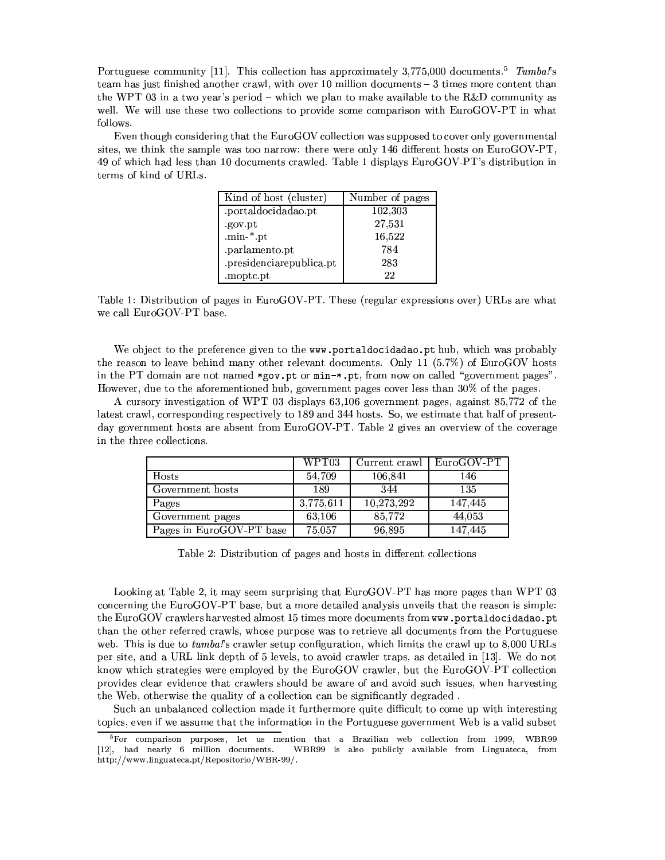Portuguese community [11]. This collection has approximately 3,775,000 documents.<sup>5</sup> Tumbal's team has just finished another crawl, with over 10 million documents  $-3$  times more content than the WPT 03 in a two vear's period – which we plan to make available to the R&D community as well. We will use these two collections to provide some comparison with EuroGOV-PT in what follows.

Even though considering that the EuroGOV collection was supposed to cover only governmental sites, we think the sample was too narrow: there were only 146 different hosts on EuroGOV-PT, 49 of which had less than 10 documents crawled. Table 1 displays EuroGOV-PT's distribution in terms of kind of URLs.

| Kind of host (cluster)   | Number of pages |
|--------------------------|-----------------|
| .portaldocidadao.pt      | 102,303         |
| .gov.pt                  | 27,531          |
| .min- $*$ .pt            | 16,522          |
| .parlamento.pt           | 784             |
| .presidenciarepublica.pt | 283             |
| .moptc.pt                | 22              |

Table 1: Distribution of pages in EuroGOV-PT. These (regular expressions over) URLs are what we call EuroGOV-PT base.

We object to the preference given to the www.portaldocidadao.pt hub, which was probably the reason to leave behind many other relevant documents. Only 11 (5.7%) of EuroGOV hosts in the PT domain are not named \*gov.pt or min-\*.pt, from now on called "government pages". However, due to the aforementioned hub, government pages cover less than 30% of the pages.

A cursory investigation of WPT 03 displays 63,106 government pages, against 85,772 of the latest crawl, corresponding respectively to 189 and 344 hosts. So, we estimate that half of presentday government hosts are absent from EuroGOV-PT. Table 2 gives an overview of the coverage in the three collections.

|                          | WPT03     | Current crawl | $EuroGOV-PT$ |
|--------------------------|-----------|---------------|--------------|
| Hosts                    | 54,709    | 106,841       | 146          |
| Government hosts         | 189       | 344           | 135          |
| Pages                    | 3,775,611 | 10,273,292    | 147,445      |
| Government pages         | 63,106    | 85,772        | 44,053       |
| Pages in EuroGOV-PT base | 75,057    | 96,895        | 147,445      |

Table 2: Distribution of pages and hosts in different collections

Looking at Table 2, it may seem surprising that EuroGOV-PT has more pages than WPT 03 concerning the EuroGOV-PT base, but a more detailed analysis unveils that the reason is simple: the EuroGOV crawlers harvested almost 15 times more documents from www.portaldocidadao.pt than the other referred crawls, whose purpose was to retrieve all documents from the Portuguese web. This is due to tumba!'s crawler setup configuration, which limits the crawl up to 8,000 URLs per site, and a URL link depth of 5 levels, to avoid crawler traps, as detailed in [13]. We do not know which strategies were employed by the EuroGOV crawler, but the EuroGOV-PT collection provides clear evidence that crawlers should be aware of and avoid such issues, when harvesting the Web, otherwise the quality of a collection can be significantly degraded.

Such an unbalanced collection made it furthermore quite difficult to come up with interesting topics, even if we assume that the information in the Portuguese government Web is a valid subset

<sup>&</sup>lt;sup>5</sup>For comparison purposes, let us mention that a Brazilian web collection from 1999, WBR99 [12], had nearly 6 million documents. WBR99 is also publicly available from Linguateca, from http://www.linguateca.pt/Repositorio/WBR-99/.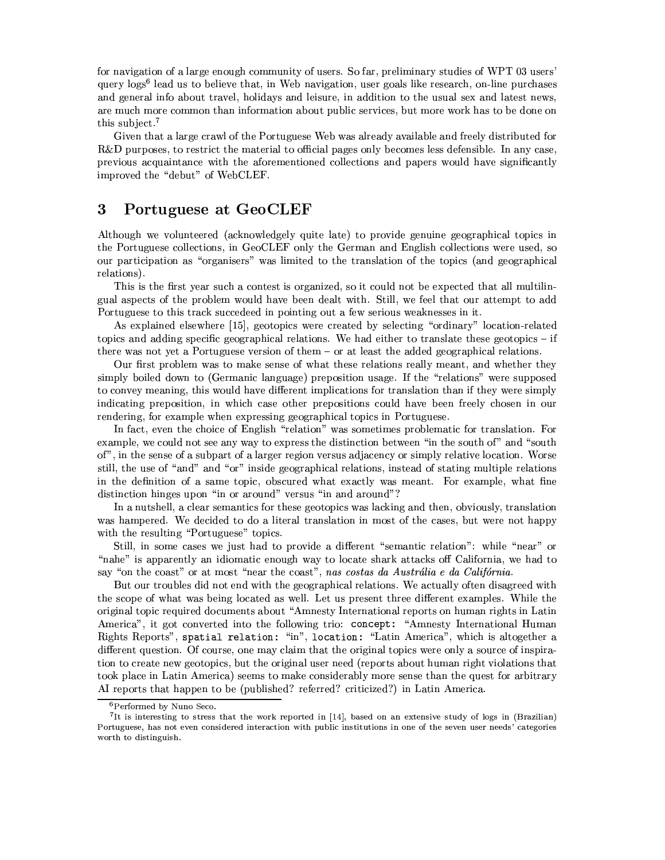for navigation of a large enough community of users. So far, preliminary studies of WPT 03 users' query logs<sup>6</sup> lead us to believe that, in Web navigation, user goals like research, on-line purchases and general info about travel, holidays and leisure, in addition to the usual sex and latest news. are much more common than information about public services, but more work has to be done on this subject.<sup>7</sup>

Given that a large crawl of the Portuguese Web was already available and freely distributed for  $R&D$  purposes, to restrict the material to official pages only becomes less defensible. In any case, previous acquaintance with the aforementioned collections and papers would have significantly improved the "debut" of WebCLEF.

#### 3 Portuguese at GeoCLEF

Although we volunteered (acknowledgely quite late) to provide genuine geographical topics in the Portuguese collections, in GeoCLEF only the German and English collections were used, so our participation as "organisers" was limited to the translation of the topics (and geographical relations).

This is the first year such a contest is organized, so it could not be expected that all multilingual aspects of the problem would have been dealt with. Still, we feel that our attempt to add Portuguese to this track succedeed in pointing out a few serious weaknesses in it.

As explained elsewhere [15], geotopics were created by selecting "ordinary" location-related topics and adding specific geographical relations. We had either to translate these geotopics  $-$  if there was not yet a Portuguese version of them - or at least the added geographical relations.

Our first problem was to make sense of what these relations really meant, and whether they simply boiled down to (Germanic language) preposition usage. If the "relations" were supposed to convey meaning, this would have different implications for translation than if they were simply indicating preposition, in which case other prepositions could have been freely chosen in our rendering, for example when expressing geographical topics in Portuguese.

In fact, even the choice of English "relation" was sometimes problematic for translation. For example, we could not see any way to express the distinction between "in the south of" and "south of", in the sense of a subpart of a larger region versus adjacency or simply relative location. Worse still, the use of "and" and "or" inside geographical relations, instead of stating multiple relations in the definition of a same topic, obscured what exactly was meant. For example, what fine distinction hinges upon "in or around" versus "in and around"?

In a nutshell, a clear semantics for these geotopics was lacking and then, obviously, translation was hampered. We decided to do a literal translation in most of the cases, but were not happy with the resulting "Portuguese" topics.

Still, in some cases we just had to provide a different "semantic relation": while "near" or "nahe" is apparently an idiomatic enough way to locate shark attacks off California, we had to say "on the coast" or at most "near the coast", nas costas da Austrália e da Califórnia.

But our troubles did not end with the geographical relations. We actually often disagreed with the scope of what was being located as well. Let us present three different examples. While the original topic required documents about "Amnesty International reports on human rights in Latin America", it got converted into the following trio: concept: "Amnesty International Human Rights Reports", spatial relation: "in", location: "Latin America", which is altogether a different question. Of course, one may claim that the original topics were only a source of inspiration to create new geotopics, but the original user need (reports about human right violations that took place in Latin America) seems to make considerably more sense than the quest for arbitrary AI reports that happen to be (published? referred? criticized?) in Latin America.

<sup>&</sup>lt;sup>6</sup>Performed by Nuno Seco.

<sup>&</sup>lt;sup>7</sup>It is interesting to stress that the work reported in [14], based on an extensive study of logs in (Brazilian) Portuguese, has not even considered interaction with public institutions in one of the seven user needs' categories worth to distinguish.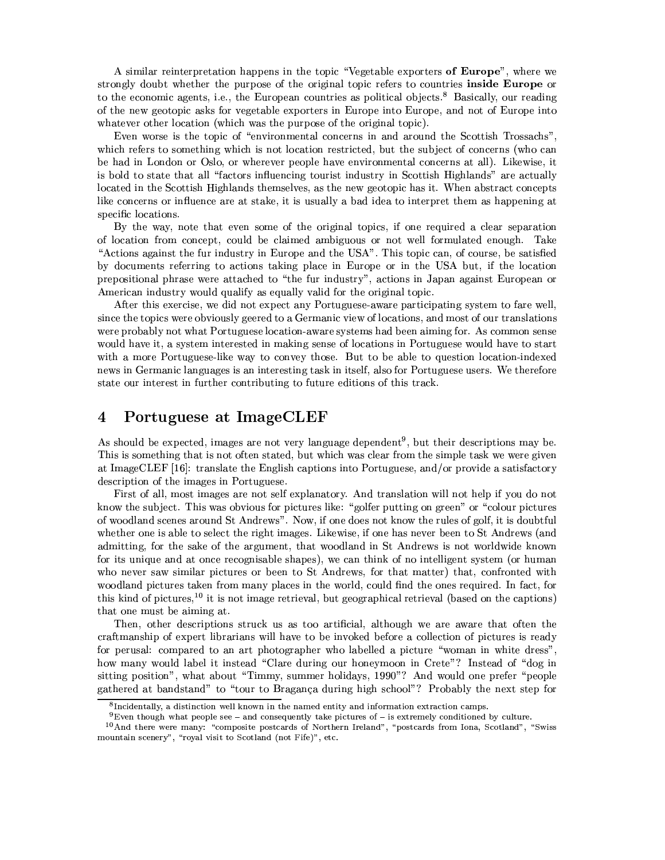A similar reinterpretation happens in the topic "Vegetable exporters of Europe", where we strongly doubt whether the purpose of the original topic refers to countries inside Europe or to the economic agents, i.e., the European countries as political objects.<sup>8</sup> Basically, our reading of the new geotopic asks for vegetable exporters in Europe into Europe, and not of Europe into whatever other location (which was the purpose of the original topic).

Even worse is the topic of "environmental concerns in and around the Scottish Trossachs", which refers to something which is not location restricted, but the subject of concerns (who can be had in London or Oslo, or wherever people have environmental concerns at all). Likewise, it is bold to state that all "factors influencing tourist industry in Scottish Highlands" are actually located in the Scottish Highlands themselves, as the new geotopic has it. When abstract concepts like concerns or influence are at stake, it is usually a bad idea to interpret them as happening at specific locations.

By the way, note that even some of the original topics, if one required a clear separation of location from concept, could be claimed ambiguous or not well formulated enough. Take "Actions against the fur industry in Europe and the USA". This topic can, of course, be satisfied by documents referring to actions taking place in Europe or in the USA but, if the location prepositional phrase were attached to "the fur industry", actions in Japan against European or American industry would qualify as equally valid for the original topic.

After this exercise, we did not expect any Portuguese-aware participating system to fare well, since the topics were obviously geered to a Germanic view of locations, and most of our translations were probably not what Portuguese location-aware systems had been aiming for. As common sense would have it, a system interested in making sense of locations in Portuguese would have to start with a more Portuguese-like way to convey those. But to be able to question location-indexed news in Germanic languages is an interesting task in itself, also for Portuguese users. We therefore state our interest in further contributing to future editions of this track.

#### $\boldsymbol{4}$ Portuguese at ImageCLEF

As should be expected, images are not very language dependent<sup>9</sup>, but their descriptions may be. This is something that is not often stated, but which was clear from the simple task we were given at ImageCLEF [16]: translate the English captions into Portuguese, and/or provide a satisfactory description of the images in Portuguese.

First of all, most images are not self explanatory. And translation will not help if you do not know the subject. This was obvious for pictures like: "golfer putting on green" or "colour pictures" of woodland scenes around St Andrews". Now, if one does not know the rules of golf, it is doubtful whether one is able to select the right images. Likewise, if one has never been to St Andrews (and admitting, for the sake of the argument, that woodland in St Andrews is not worldwide known for its unique and at once recognisable shapes), we can think of no intelligent system (or human who never saw similar pictures or been to St Andrews, for that matter) that, confronted with woodland pictures taken from many places in the world, could find the ones required. In fact, for this kind of pictures,<sup>10</sup> it is not image retrieval, but geographical retrieval (based on the captions) that one must be aiming at.

Then, other descriptions struck us as too artificial, although we are aware that often the craftmanship of expert librarians will have to be invoked before a collection of pictures is ready for perusal: compared to an art photographer who labelled a picture "woman in white dress", how many would label it instead "Clare during our honeymoon in Crete"? Instead of "dog in sitting position", what about "Timmy, summer holidays, 1990"? And would one prefer "people gathered at bandstand" to "tour to Bragança during high school"? Probably the next step for

 ${}^{8}$ Incidentally, a distinction well known in the named entity and information extraction camps.

 $9$ Even though what people see – and consequently take pictures of – is extremely conditioned by culture.

<sup>&</sup>lt;sup>10</sup>And there were many: "composite postcards of Northern Ireland", "postcards from Iona, Scotland", "Swiss mountain scenery", "royal visit to Scotland (not Fife)", etc.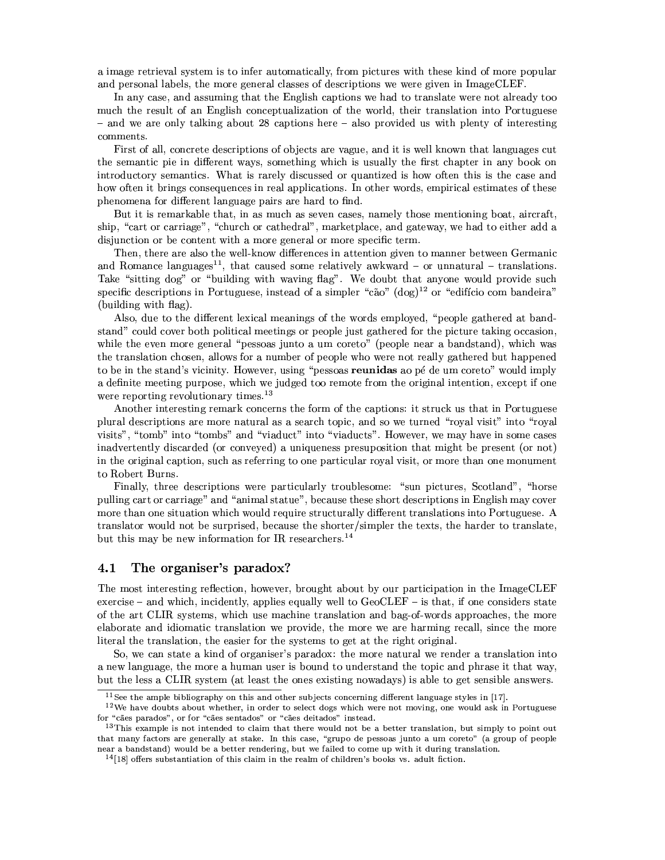a image retrieval system is to infer automatically, from pictures with these kind of more popular and personal labels, the more general classes of descriptions we were given in ImageCLEF.

In any case, and assuming that the English captions we had to translate were not already too much the result of an English conceptualization of the world, their translation into Portuguese - and we are only talking about 28 captions here - also provided us with plenty of interesting comments.

First of all, concrete descriptions of objects are vague, and it is well known that languages cut the semantic pie in different ways, something which is usually the first chapter in any book on introductory semantics. What is rarely discussed or quantized is how often this is the case and how often it brings consequences in real applications. In other words, empirical estimates of these phenomena for different language pairs are hard to find.

But it is remarkable that, in as much as seven cases, namely those mentioning boat, aircraft, ship, "cart or carriage", "church or cathedral", marketplace, and gateway, we had to either add a disjunction or be content with a more general or more specific term.

Then, there are also the well-know differences in attention given to manner between Germanic and Romance languages<sup>11</sup>, that caused some relatively awkward – or unnatural – translations. Take "sitting dog" or "building with waving flag". We doubt that anyone would provide such specific descriptions in Portuguese, instead of a simpler "cão"  $(\text{dog})^{12}$  or "edifício com bandeira" (building with flag).

Also, due to the different lexical meanings of the words employed, "people gathered at bandstand" could cover both political meetings or people just gathered for the picture taking occasion, while the even more general "pessoas junto a um coreto" (people near a bandstand), which was the translation chosen, allows for a number of people who were not really gathered but happened to be in the stand's vicinity. However, using "pessoas reunidas ao pé de um coreto" would imply a definite meeting purpose, which we judged too remote from the original intention, except if one were reporting revolutionary times.<sup>13</sup>

Another interesting remark concerns the form of the captions: it struck us that in Portuguese plural descriptions are more natural as a search topic, and so we turned "royal visit" into "royal visits", "tomb" into "tombs" and "viaduct" into "viaducts". However, we may have in some cases inadvertently discarded (or conveyed) a uniqueness presuposition that might be present (or not) in the original caption, such as referring to one particular royal visit, or more than one monument to Robert Burns.

Finally, three descriptions were particularly troublesome: "sun pictures, Scotland", "horse pulling cart or carriage" and "animal statue", because these short descriptions in English may cover more than one situation which would require structurally different translations into Portuguese. A translator would not be surprised, because the shorter/simpler the texts, the harder to translate, but this may be new information for IR researchers.<sup>14</sup>

#### 4.1 The organiser's paradox?

The most interesting reflection, however, brought about by our participation in the ImageCLEF exercise – and which, incidently, applies equally well to  $GeocLEF -$  is that, if one considers state of the art CLIR systems, which use machine translation and bag-of-words approaches, the more elaborate and idiomatic translation we provide, the more we are harming recall, since the more literal the translation, the easier for the systems to get at the right original.

So, we can state a kind of organiser's paradox: the more natural we render a translation into a new language, the more a human user is bound to understand the topic and phrase it that way, but the less a CLIR system (at least the ones existing nowadays) is able to get sensible answers.

 $11$  See the ample bibliography on this and other subjects concerning different language styles in [17].

<sup>&</sup>lt;sup>12</sup> We have doubts about whether, in order to select dogs which were not moving, one would ask in Portuguese for "cães parados", or for "cães sentados" or "cães deitados" instead.

 $13$ This example is not intended to claim that there would not be a better translation, but simply to point out that many factors are generally at stake. In this case, "grupo de pessoas junto a um coreto" (a group of people near a bandstand) would be a better rendering, but we failed to come up with it during translation.

 $14$ [18] offers substantiation of this claim in the realm of children's books vs. adult fiction.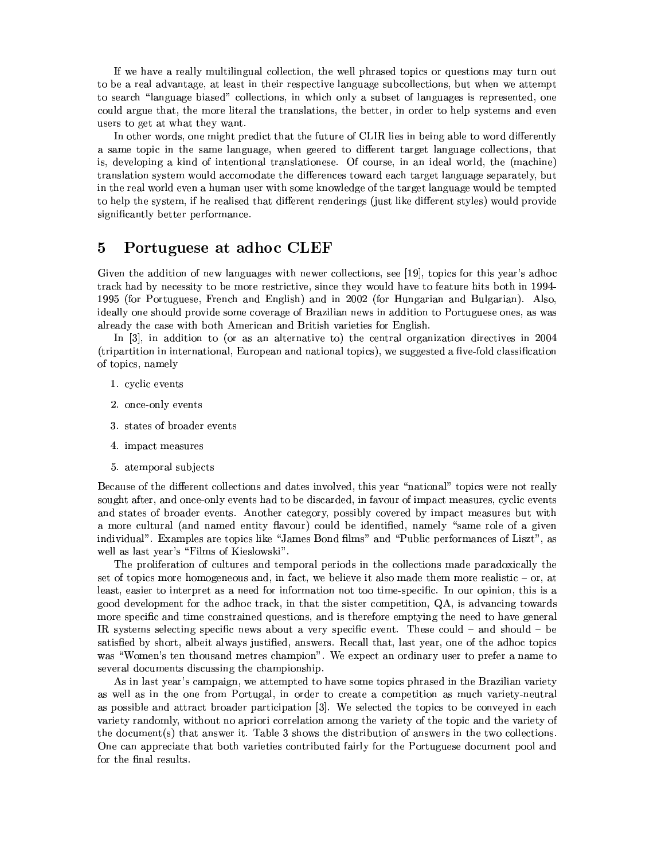If we have a really multilingual collection, the well phrased topics or questions may turn out to be a real advantage, at least in their respective language subcollections, but when we attempt to search "language biased" collections, in which only a subset of languages is represented, one could argue that, the more literal the translations, the better, in order to help systems and even users to get at what they want.

In other words, one might predict that the future of CLIR lies in being able to word differently a same topic in the same language, when geered to different target language collections, that is, developing a kind of intentional translationese. Of course, in an ideal world, the (machine) translation system would accomodate the differences toward each target language separately, but in the real world even a human user with some knowledge of the target language would be tempted to help the system, if he realised that different renderings (just like different styles) would provide significantly better performance.

#### Portuguese at adhoc CLEF  $\overline{5}$

Given the addition of new languages with newer collections, see [19], topics for this year's adhoc track had by necessity to be more restrictive, since they would have to feature hits both in 1994-1995 (for Portuguese, French and English) and in 2002 (for Hungarian and Bulgarian). Also, ideally one should provide some coverage of Brazilian news in addition to Portuguese ones, as was already the case with both American and British varieties for English.

In  $[3]$ , in addition to (or as an alternative to) the central organization directives in 2004 (tripartition in international, European and national topics), we suggested a five-fold classification of topics, namely

- 1. cvclic events
- 2. once-only events
- 3. states of broader events
- 4. impact measures
- 5. atemporal subjects

Because of the different collections and dates involved, this year "national" topics were not really sought after, and once-only events had to be discarded, in favour of impact measures, cyclic events and states of broader events. Another category, possibly covered by impact measures but with a more cultural (and named entity flavour) could be identified, namely "same role of a given individual". Examples are topics like "James Bond films" and "Public performances of Liszt", as well as last year's "Films of Kieslowski".

The proliferation of cultures and temporal periods in the collections made paradoxically the set of topics more homogeneous and, in fact, we believe it also made them more realistic  $-$  or, at least, easier to interpret as a need for information not too time-specific. In our opinion, this is a good development for the adhoc track, in that the sister competition, QA, is advancing towards more specific and time constrained questions, and is therefore emptying the need to have general IR systems selecting specific news about a very specific event. These could  $-$  and should  $-$  be satisfied by short, albeit always justified, answers. Recall that, last year, one of the adhoc topics was "Women's ten thousand metres champion". We expect an ordinary user to prefer a name to several documents discussing the championship.

As in last year's campaign, we attempted to have some topics phrased in the Brazilian variety as well as in the one from Portugal, in order to create a competition as much variety-neutral as possible and attract broader participation [3]. We selected the topics to be conveyed in each variety randomly, without no apriori correlation among the variety of the topic and the variety of the document(s) that answer it. Table 3 shows the distribution of answers in the two collections. One can appreciate that both varieties contributed fairly for the Portuguese document pool and for the final results.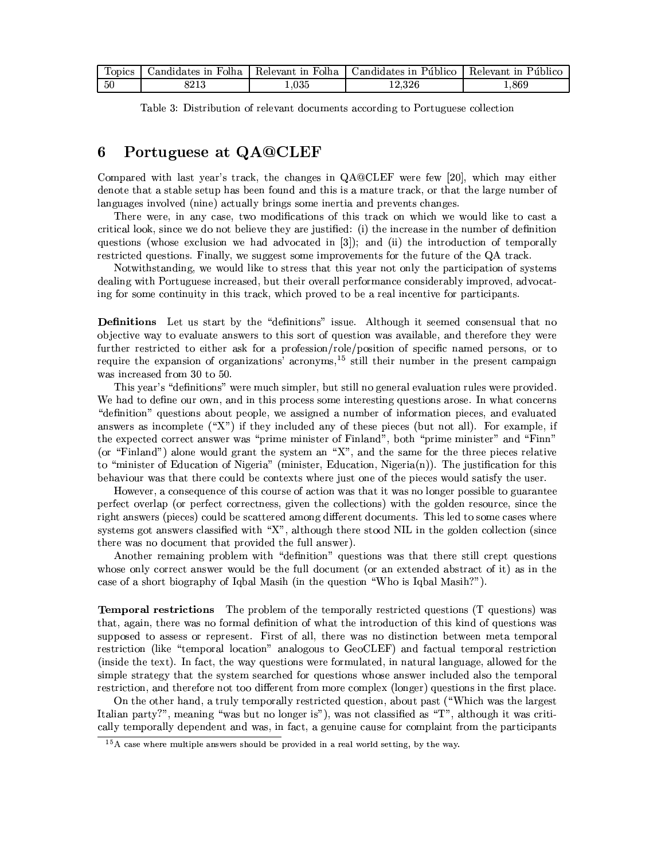| <b>ODICS</b> | Folha<br>andidates in | .<br>Relevant<br>in Folha | Candidates in Público- | in Público<br>Relevant - |
|--------------|-----------------------|---------------------------|------------------------|--------------------------|
| 50           | ດດາເ<br>34 I U        | .035                      | 14.04U                 | .869                     |

|  | Table 3: Distribution of relevant documents according to Portuguese collection |  |  |  |  |  |
|--|--------------------------------------------------------------------------------|--|--|--|--|--|
|--|--------------------------------------------------------------------------------|--|--|--|--|--|

#### Portuguese at QA@CLEF 6

Compared with last year's track, the changes in QA@CLEF were few [20], which may either denote that a stable setup has been found and this is a mature track, or that the large number of languages involved (nine) actually brings some inertia and prevents changes.

There were, in any case, two modifications of this track on which we would like to cast a critical look, since we do not believe they are justified: (i) the increase in the number of definition questions (whose exclusion we had advocated in [3]); and (ii) the introduction of temporally restricted questions. Finally, we suggest some improvements for the future of the QA track.

Notwithstanding, we would like to stress that this year not only the participation of systems dealing with Portuguese increased, but their overall performance considerably improved, advocating for some continuity in this track, which proved to be a real incentive for participants.

Definitions Let us start by the "definitions" issue. Although it seemed consensual that no objective way to evaluate answers to this sort of question was available, and therefore they were further restricted to either ask for a profession/role/position of specific named persons, or to require the expansion of organizations' acronyms,<sup>15</sup> still their number in the present campaign was increased from 30 to 50.

This year's "definitions" were much simpler, but still no general evaluation rules were provided. We had to define our own, and in this process some interesting questions arose. In what concerns "definition" questions about people, we assigned a number of information pieces, and evaluated answers as incomplete  $({}^{\omega}X^{\omega})$  if they included any of these pieces (but not all). For example, if the expected correct answer was "prime minister of Finland", both "prime minister" and "Finn" (or "Finland") alone would grant the system an "X", and the same for the three pieces relative to "minister of Education of Nigeria" (minister, Education, Nigeria(n)). The justification for this behaviour was that there could be contexts where just one of the pieces would satisfy the user.

However, a consequence of this course of action was that it was no longer possible to guarantee perfect overlap (or perfect correctness, given the collections) with the golden resource, since the right answers (pieces) could be scattered among different documents. This led to some cases where systems got answers classified with "X", although there stood NIL in the golden collection (since there was no document that provided the full answer).

Another remaining problem with "definition" questions was that there still crept questions whose only correct answer would be the full document (or an extended abstract of it) as in the case of a short biography of Igbal Masih (in the question "Who is Igbal Masih?").

**Temporal restrictions** The problem of the temporally restricted questions (T questions) was that, again, there was no formal definition of what the introduction of this kind of questions was supposed to assess or represent. First of all, there was no distinction between meta temporal restriction (like "temporal location" analogous to GeoCLEF) and factual temporal restriction (inside the text). In fact, the way questions were formulated, in natural language, allowed for the simple strategy that the system searched for questions whose answer included also the temporal restriction, and therefore not too different from more complex (longer) questions in the first place.

On the other hand, a truly temporally restricted question, about past ("Which was the largest" Italian party?", meaning "was but no longer is"), was not classified as "T", although it was critically temporally dependent and was, in fact, a genuine cause for complaint from the participants

 $15A$  case where multiple answers should be provided in a real world setting, by the way.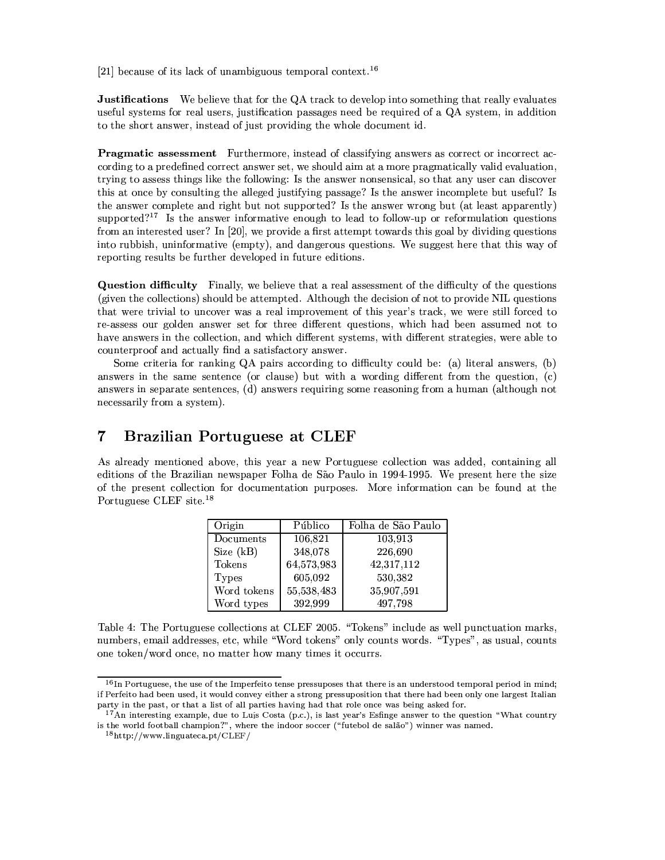[21] because of its lack of unambiguous temporal context.<sup>16</sup>

**Justifications** We believe that for the QA track to develop into something that really evaluates useful systems for real users, justification passages need be required of a QA system, in addition to the short answer, instead of just providing the whole document id.

**Pragmatic assessment** Furthermore, instead of classifying answers as correct or incorrect according to a predefined correct answer set, we should aim at a more pragmatically valid evaluation. trying to assess things like the following: Is the answer nonsensical, so that any user can discover this at once by consulting the alleged justifying passage? Is the answer incomplete but useful? Is the answer complete and right but not supported? Is the answer wrong but (at least apparently) supported?<sup>17</sup> Is the answer informative enough to lead to follow-up or reformulation questions from an interested user? In [20], we provide a first attempt towards this goal by dividing questions into rubbish, uninformative (empty), and dangerous questions. We suggest here that this way of reporting results be further developed in future editions.

**Question difficulty** Finally, we believe that a real assessment of the difficulty of the questions (given the collections) should be attempted. Although the decision of not to provide NIL questions that were trivial to uncover was a real improvement of this year's track, we were still forced to re-assess our golden answer set for three different questions, which had been assumed not to have answers in the collection, and which different systems, with different strategies, were able to counterproof and actually find a satisfactory answer.

Some criteria for ranking QA pairs according to difficulty could be: (a) literal answers, (b) answers in the same sentence (or clause) but with a wording different from the question, (c) answers in separate sentences, (d) answers requiring some reasoning from a human (although not necessarily from a system).

#### $\overline{7}$ **Brazilian Portuguese at CLEF**

As already mentioned above, this year a new Portuguese collection was added, containing all editions of the Brazilian newspaper Folha de São Paulo in 1994-1995. We present here the size of the present collection for documentation purposes. More information can be found at the Portuguese CLEF site.<sup>18</sup>

| Origin       | Público    | Folha de São Paulo |
|--------------|------------|--------------------|
| Documents    | 106,821    | 103,913            |
| Size (kB)    | 348,078    | 226,690            |
| Tokens       | 64,573,983 | 42,317,112         |
| <b>Types</b> | 605,092    | 530,382            |
| Word tokens  | 55,538,483 | 35,907,591         |
| Word types   | 392,999    | 497,798            |

Table 4: The Portuguese collections at CLEF 2005. "Tokens" include as well punctuation marks, numbers, email addresses, etc, while "Word tokens" only counts words. "Types", as usual, counts one token/word once, no matter how many times it occurrs.

 $16$  In Portuguese, the use of the Imperfeito tense pressuposes that there is an understood temporal period in mind; if Perfeito had been used, it would convey either a strong pressuposition that there had been only one largest Italian party in the past, or that a list of all parties having had that role once was being asked for.

<sup>&</sup>lt;sup>17</sup>An interesting example, due to Luís Costa (p.c.), is last year's Esfinge answer to the question "What country is the world football champion?", where the indoor soccer ("futebol de salão") winner was named.

 $18$ http://www.linguateca.pt/CLEF/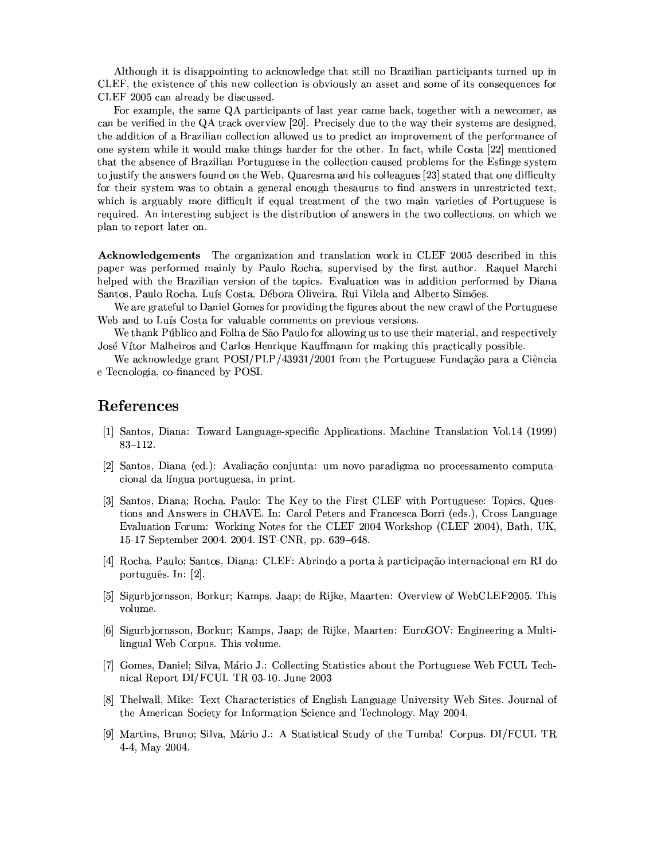Although it is disappointing to acknowledge that still no Brazilian participants turned up in CLEF, the existence of this new collection is obviously an asset and some of its consequences for CLEF 2005 can already be discussed.

For example, the same QA participants of last year came back, together with a newcomer, as can be verified in the QA track overview [20]. Precisely due to the way their systems are designed, the addition of a Brazilian collection allowed us to predict an improvement of the performance of one system while it would make things harder for the other. In fact, while Costa [22] mentioned that the absence of Brazilian Portuguese in the collection caused problems for the Esfinge system to justify the answers found on the Web, Quaresma and his colleagues [23] stated that one difficulty for their system was to obtain a general enough thesaurus to find answers in unrestricted text, which is arguably more difficult if equal treatment of the two main varieties of Portuguese is required. An interesting subject is the distribution of answers in the two collections, on which we plan to report later on.

**Acknowledgements** The organization and translation work in CLEF 2005 described in this paper was performed mainly by Paulo Rocha, supervised by the first author. Raquel Marchi helped with the Brazilian version of the topics. Evaluation was in addition performed by Diana Santos, Paulo Rocha, Luís Costa, Débora Oliveira, Rui Vilela and Alberto Simões.

We are grateful to Daniel Gomes for providing the figures about the new crawl of the Portuguese Web and to Luís Costa for valuable comments on previous versions.

We thank Público and Folha de São Paulo for allowing us to use their material, and respectively José Vítor Malheiros and Carlos Henrique Kauffmann for making this practically possible.

We acknowledge grant POSI/PLP/43931/2001 from the Portuguese Fundação para a Ciência e Tecnologia, co-financed by POSI.

## References

- [1] Santos, Diana: Toward Language-specific Applications. Machine Translation Vol.14 (1999)  $83 - 112.$
- [2] Santos, Diana (ed.): Avaliação conjunta: um novo paradigma no processamento computacional da língua portuguesa, in print.
- [3] Santos, Diana; Rocha, Paulo: The Key to the First CLEF with Portuguese: Topics, Questions and Answers in CHAVE. In: Carol Peters and Francesca Borri (eds.), Cross Language Evaluation Forum: Working Notes for the CLEF 2004 Workshop (CLEF 2004), Bath, UK, 15-17 September 2004. 2004. IST-CNR, pp. 639-648.
- [4] Rocha, Paulo; Santos, Diana: CLEF: Abrindo a porta à participação internacional em RI do português. In: [2].
- [5] Sigurbjornsson, Borkur; Kamps, Jaap; de Rijke, Maarten: Overview of WebCLEF2005. This volume.
- [6] Sigurbjornsson, Borkur; Kamps, Jaap; de Rijke, Maarten: EuroGOV: Engineering a Multilingual Web Corpus. This volume.
- [7] Gomes, Daniel; Silva, Mário J.: Collecting Statistics about the Portuguese Web FCUL Technical Report DI/FCUL TR 03-10. June 2003
- [8] Thelwall, Mike: Text Characteristics of English Language University Web Sites. Journal of the American Society for Information Science and Technology. May 2004,
- [9] Martins, Bruno; Silva, Mário J.: A Statistical Study of the Tumba! Corpus. DI/FCUL TR 4-4, May 2004.